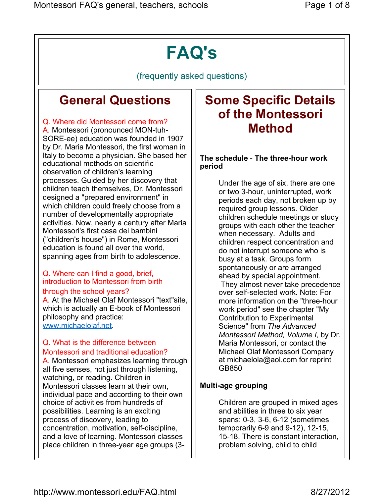# FAQ's

(frequently asked questions)

## General Questions

## Q. Where did Montessori come from?

A. Montessori (pronounced MON-tuh-SORE-ee) education was founded in 1907 by Dr. Maria Montessori, the first woman in Italy to become a physician. She based her educational methods on scientific observation of children's learning processes. Guided by her discovery that children teach themselves, Dr. Montessori designed a "prepared environment" in which children could freely choose from a number of developmentally appropriate activities. Now, nearly a century after Maria Montessori's first casa dei bambini ("children's house") in Rome, Montessori education is found all over the world, spanning ages from birth to adolescence.

### Q. Where can I find a good, brief, introduction to Montessori from birth

#### through the school years?

A. At the Michael Olaf Montessori "text"site, which is actually an E-book of Montessori philosophy and practice: www.michaelolaf.net.

#### Q. What is the difference between Montessori and traditional education?

A. Montessori emphasizes learning through all five senses, not just through listening, watching, or reading. Children in Montessori classes learn at their own, individual pace and according to their own choice of activities from hundreds of possibilities. Learning is an exciting process of discovery, leading to concentration, motivation, self-discipline, and a love of learning. Montessori classes place children in three-year age groups (3-

## Some Specific Details of the Montessori Method

### The schedule - The three-hour work period

Under the age of six, there are one or two 3-hour, uninterrupted, work periods each day, not broken up by required group lessons. Older children schedule meetings or study groups with each other the teacher when necessary. Adults and children respect concentration and do not interrupt someone who is busy at a task. Groups form spontaneously or are arranged ahead by special appointment.

 They almost never take precedence over self-selected work. Note: For more information on the "three-hour work period" see the chapter "My Contribution to Experimental Science" from The Advanced Montessori Method, Volume I, by Dr. Maria Montessori, or contact the Michael Olaf Montessori Company at michaelola@aol.com for reprint GB850

## Multi-age grouping

Children are grouped in mixed ages and abilities in three to six year spans: 0-3, 3-6, 6-12 (sometimes temporarily 6-9 and 9-12), 12-15, 15-18. There is constant interaction, problem solving, child to child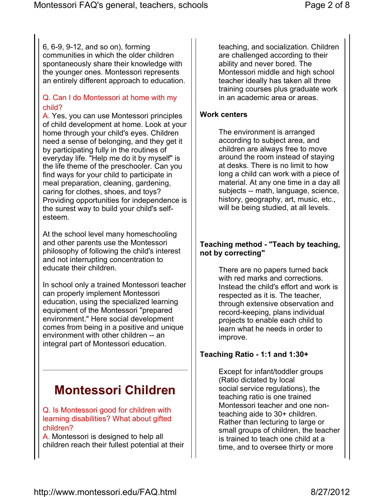6, 6-9, 9-12, and so on), forming communities in which the older children spontaneously share their knowledge with the younger ones. Montessori represents an entirely different approach to education.

### Q. Can I do Montessori at home with my child?

A. Yes, you can use Montessori principles of child development at home. Look at your home through your child's eyes. Children need a sense of belonging, and they get it by participating fully in the routines of everyday life. "Help me do it by myself" is the life theme of the preschooler. Can you find ways for your child to participate in meal preparation, cleaning, gardening, caring for clothes, shoes, and toys? Providing opportunities for independence is the surest way to build your child's selfesteem.

At the school level many homeschooling and other parents use the Montessori philosophy of following the child's interest and not interrupting concentration to educate their children.

In school only a trained Montessori teacher can properly implement Montessori education, using the specialized learning equipment of the Montessori "prepared environment." Here social development comes from being in a positive and unique environment with other children -- an integral part of Montessori education.

## Montessori Children

### Q. Is Montessori good for children with learning disabilities? What about gifted children?

A. Montessori is designed to help all children reach their fullest potential at their teaching, and socialization. Children are challenged according to their ability and never bored. The Montessori middle and high school teacher ideally has taken all three training courses plus graduate work in an academic area or areas.

### Work centers

The environment is arranged according to subject area, and children are always free to move around the room instead of staying at desks. There is no limit to how long a child can work with a piece of material. At any one time in a day all subjects -- math, language, science, history, geography, art, music, etc., will be being studied, at all levels.

### Teaching method - "Teach by teaching, not by correcting"

There are no papers turned back with red marks and corrections. Instead the child's effort and work is respected as it is. The teacher, through extensive observation and record-keeping, plans individual projects to enable each child to learn what he needs in order to improve.

## Teaching Ratio - 1:1 and 1:30+

Except for infant/toddler groups (Ratio dictated by local social service regulations), the teaching ratio is one trained Montessori teacher and one nonteaching aide to 30+ children. Rather than lecturing to large or small groups of children, the teacher is trained to teach one child at a time, and to oversee thirty or more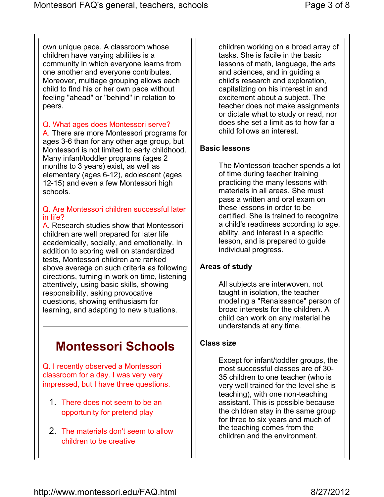own unique pace. A classroom whose children have varying abilities is a community in which everyone learns from one another and everyone contributes. Moreover, multiage grouping allows each child to find his or her own pace without feeling "ahead" or "behind" in relation to peers.

#### Q. What ages does Montessori serve?

A. There are more Montessori programs for ages 3-6 than for any other age group, but Montessori is not limited to early childhood. Many infant/toddler programs (ages 2 months to 3 years) exist, as well as elementary (ages 6-12), adolescent (ages 12-15) and even a few Montessori high schools.

#### Q. Are Montessori children successful later in life?

A. Research studies show that Montessori children are well prepared for later life academically, socially, and emotionally. In addition to scoring well on standardized tests, Montessori children are ranked above average on such criteria as following directions, turning in work on time, listening attentively, using basic skills, showing responsibility, asking provocative questions, showing enthusiasm for learning, and adapting to new situations.

## Montessori Schools

Q. I recently observed a Montessori classroom for a day. I was very very impressed, but I have three questions.

- 1. There does not seem to be an opportunity for pretend play
- 2. The materials don't seem to allow children to be creative

children working on a broad array of tasks. She is facile in the basic lessons of math, language, the arts and sciences, and in guiding a child's research and exploration, capitalizing on his interest in and excitement about a subject. The teacher does not make assignments or dictate what to study or read, nor does she set a limit as to how far a child follows an interest.

#### Basic lessons

The Montessori teacher spends a lot of time during teacher training practicing the many lessons with materials in all areas. She must pass a written and oral exam on these lessons in order to be certified. She is trained to recognize a child's readiness according to age, ability, and interest in a specific lesson, and is prepared to guide individual progress.

### Areas of study

All subjects are interwoven, not taught in isolation, the teacher modeling a "Renaissance" person of broad interests for the children. A child can work on any material he understands at any time.

#### Class size

Except for infant/toddler groups, the most successful classes are of 30- 35 children to one teacher (who is very well trained for the level she is teaching), with one non-teaching assistant. This is possible because the children stay in the same group for three to six years and much of the teaching comes from the children and the environment.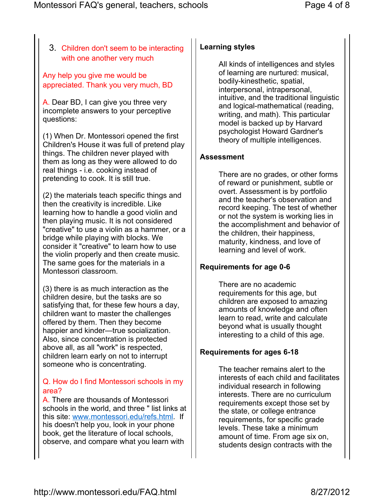## 3. Children don't seem to be interacting with one another very much

Any help you give me would be appreciated. Thank you very much, BD

A. Dear BD, I can give you three very incomplete answers to your perceptive questions:

(1) When Dr. Montessori opened the first Children's House it was full of pretend play things. The children never played with them as long as they were allowed to do real things - i.e. cooking instead of pretending to cook. It is still true.

(2) the materials teach specific things and then the creativity is incredible. Like learning how to handle a good violin and then playing music. It is not considered "creative" to use a violin as a hammer, or a bridge while playing with blocks. We consider it "creative" to learn how to use the violin properly and then create music. The same goes for the materials in a Montessori classroom.

(3) there is as much interaction as the children desire, but the tasks are so satisfying that, for these few hours a day, children want to master the challenges offered by them. Then they become happier and kinder—true socialization. Also, since concentration is protected above all, as all "work" is respected, children learn early on not to interrupt someone who is concentrating.

## Q. How do I find Montessori schools in my area?

A. There are thousands of Montessori schools in the world, and three " list links at this site: www.montessori.edu/refs.html. If his doesn't help you, look in your phone book, get the literature of local schools, observe, and compare what you learn with

## Learning styles

All kinds of intelligences and styles of learning are nurtured: musical, bodily-kinesthetic, spatial, interpersonal, intrapersonal, intuitive, and the traditional linguistic and logical-mathematical (reading, writing, and math). This particular model is backed up by Harvard psychologist Howard Gardner's theory of multiple intelligences.

## Assessment

There are no grades, or other forms of reward or punishment, subtle or overt. Assessment is by portfolio and the teacher's observation and record keeping. The test of whether or not the system is working lies in the accomplishment and behavior of the children, their happiness, maturity, kindness, and love of learning and level of work.

## Requirements for age 0-6

There are no academic requirements for this age, but children are exposed to amazing amounts of knowledge and often learn to read, write and calculate beyond what is usually thought interesting to a child of this age.

## Requirements for ages 6-18

The teacher remains alert to the interests of each child and facilitates individual research in following interests. There are no curriculum requirements except those set by the state, or college entrance requirements, for specific grade levels. These take a minimum amount of time. From age six on, students design contracts with the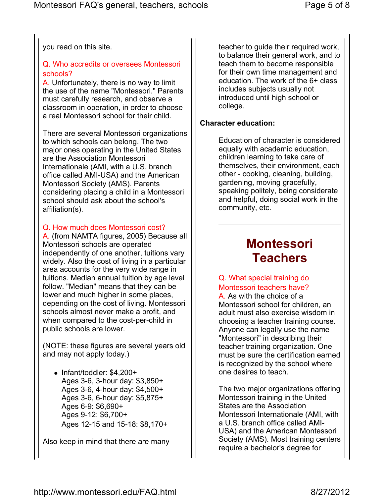you read on this site.

## Q. Who accredits or oversees Montessori schools?

A. Unfortunately, there is no way to limit the use of the name "Montessori." Parents must carefully research, and observe a classroom in operation, in order to choose a real Montessori school for their child.

There are several Montessori organizations to which schools can belong. The two major ones operating in the United States are the Association Montessori Internationale (AMI, with a U.S. branch office called AMI-USA) and the American Montessori Society (AMS). Parents considering placing a child in a Montessori school should ask about the school's affiliation(s).

## Q. How much does Montessori cost?

A. (from NAMTA figures, 2005) Because all Montessori schools are operated independently of one another, tuitions vary widely. Also the cost of living in a particular area accounts for the very wide range in tuitions. Median annual tuition by age level follow. "Median" means that they can be lower and much higher in some places, depending on the cost of living. Montessori schools almost never make a profit, and when compared to the cost-per-child in public schools are lower.

(NOTE: these figures are several years old and may not apply today.)

 $\bullet$  Infant/toddler: \$4,200+ Ages 3-6, 3-hour day: \$3,850+ Ages 3-6, 4-hour day: \$4,500+ Ages 3-6, 6-hour day: \$5,875+ Ages 6-9: \$6,690+ Ages 9-12: \$6,700+ Ages 12-15 and 15-18: \$8,170+

Also keep in mind that there are many

teacher to guide their required work, to balance their general work, and to teach them to become responsible for their own time management and education. The work of the 6+ class includes subjects usually not introduced until high school or college.

## Character education:

Education of character is considered equally with academic education, children learning to take care of themselves, their environment, each other - cooking, cleaning, building, gardening, moving gracefully, speaking politely, being considerate and helpful, doing social work in the community, etc.

## **Montessori Teachers**

## Q. What special training do Montessori teachers have?

A. As with the choice of a Montessori school for children, an adult must also exercise wisdom in choosing a teacher training course. Anyone can legally use the name "Montessori" in describing their teacher training organization. One must be sure the certification earned is recognized by the school where one desires to teach.

The two major organizations offering Montessori training in the United States are the Association Montessori Internationale (AMI, with a U.S. branch office called AMI-USA) and the American Montessori Society (AMS). Most training centers require a bachelor's degree for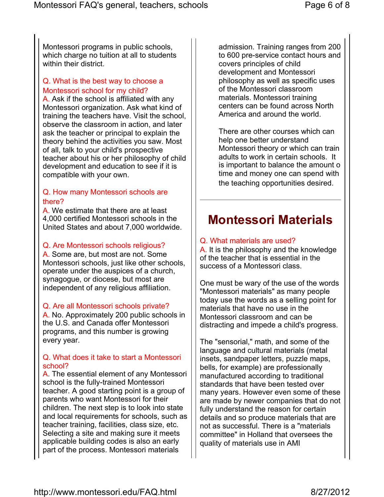Montessori programs in public schools, which charge no tuition at all to students within their district.

### Q. What is the best way to choose a Montessori school for my child?

A. Ask if the school is affiliated with any Montessori organization. Ask what kind of training the teachers have. Visit the school, observe the classroom in action, and later ask the teacher or principal to explain the theory behind the activities you saw. Most of all, talk to your child's prospective teacher about his or her philosophy of child development and education to see if it is compatible with your own.

#### Q. How many Montessori schools are there?

A. We estimate that there are at least 4,000 certified Montessori schools in the United States and about 7,000 worldwide.

#### Q. Are Montessori schools religious?

A. Some are, but most are not. Some Montessori schools, just like other schools, operate under the auspices of a church, synagogue, or diocese, but most are independent of any religious affiliation.

#### Q. Are all Montessori schools private?

A. No. Approximately 200 public schools in the U.S. and Canada offer Montessori programs, and this number is growing every year.

#### Q. What does it take to start a Montessori school?

A. The essential element of any Montessori school is the fully-trained Montessori teacher. A good starting point is a group of parents who want Montessori for their children. The next step is to look into state and local requirements for schools, such as teacher training, facilities, class size, etc. Selecting a site and making sure it meets applicable building codes is also an early part of the process. Montessori materials

admission. Training ranges from 200 to 600 pre-service contact hours and covers principles of child development and Montessori philosophy as well as specific uses of the Montessori classroom materials. Montessori training centers can be found across North America and around the world.

There are other courses which can help one better understand Montessori theory or which can train adults to work in certain schools. It is important to balance the amount o time and money one can spend with the teaching opportunities desired.

## Montessori Materials

#### Q. What materials are used?

A. It is the philosophy and the knowledge of the teacher that is essential in the success of a Montessori class.

One must be wary of the use of the words "Montessori materials" as many people today use the words as a selling point for materials that have no use in the Montessori classroom and can be distracting and impede a child's progress.

The "sensorial," math, and some of the language and cultural materials (metal insets, sandpaper letters, puzzle maps, bells, for example) are professionally manufactured according to traditional standards that have been tested over many years. However even some of these are made by newer companies that do not fully understand the reason for certain details and so produce materials that are not as successful. There is a "materials committee" in Holland that oversees the quality of materials use in AMI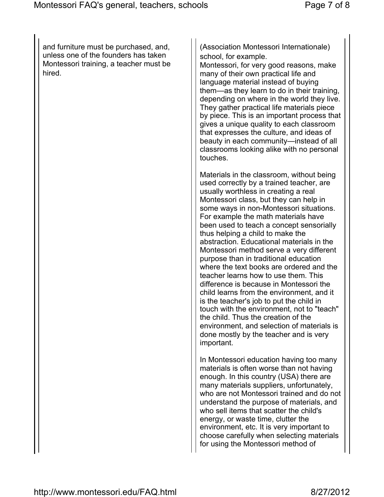and furniture must be purchased, and, unless one of the founders has taken Montessori training, a teacher must be hired.

(Association Montessori Internationale) school, for example.

Montessori, for very good reasons, make many of their own practical life and language material instead of buying them—as they learn to do in their training, depending on where in the world they live. They gather practical life materials piece by piece. This is an important process that gives a unique quality to each classroom that expresses the culture, and ideas of beauty in each community—instead of all classrooms looking alike with no personal touches.

Materials in the classroom, without being used correctly by a trained teacher, are usually worthless in creating a real Montessori class, but they can help in some ways in non-Montessori situations. For example the math materials have been used to teach a concept sensorially thus helping a child to make the abstraction. Educational materials in the Montessori method serve a very different purpose than in traditional education where the text books are ordered and the teacher learns how to use them. This difference is because in Montessori the child learns from the environment, and it is the teacher's job to put the child in touch with the environment, not to "teach" the child. Thus the creation of the environment, and selection of materials is done mostly by the teacher and is very important.

In Montessori education having too many materials is often worse than not having enough. In this country (USA) there are many materials suppliers, unfortunately, who are not Montessori trained and do not understand the purpose of materials, and who sell items that scatter the child's energy, or waste time, clutter the environment, etc. It is very important to choose carefully when selecting materials for using the Montessori method of